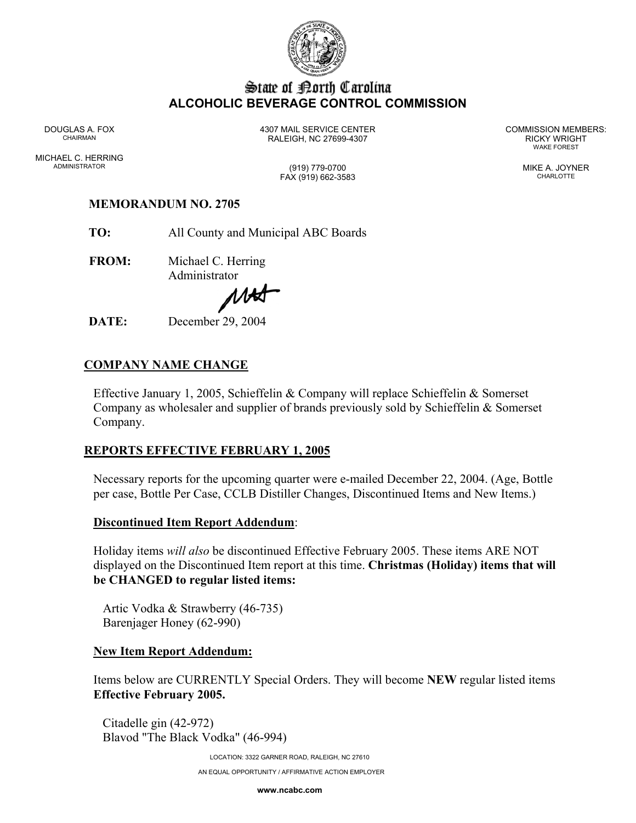

# State of Borth Carolina **ALCOHOLIC BEVERAGE CONTROL COMMISSION**

MICHAEL C. HERRING ADMINISTRATOR (919) 779-0700 MIKE A. JOYNER

DOUGLAS A. FOX 4307 MAIL SERVICE CENTER COMMISSION MEMBERS: CHAIRMAN RALEIGH, NC 27699-4307 RICKY WRIGHT

WAKE FOREST

FAX (919) 662-3583 CHARLOTTE

## **MEMORANDUM NO. 2705**

**TO:** All County and Municipal ABC Boards

**FROM:** Michael C. Herring Administrator

MHS

**DATE:** December 29, 2004

## **COMPANY NAME CHANGE**

Effective January 1, 2005, Schieffelin & Company will replace Schieffelin & Somerset Company as wholesaler and supplier of brands previously sold by Schieffelin & Somerset Company.

### **REPORTS EFFECTIVE FEBRUARY 1, 2005**

Necessary reports for the upcoming quarter were e-mailed December 22, 2004. (Age, Bottle per case, Bottle Per Case, CCLB Distiller Changes, Discontinued Items and New Items.)

#### **Discontinued Item Report Addendum**:

Holiday items *will also* be discontinued Effective February 2005. These items ARE NOT displayed on the Discontinued Item report at this time. **Christmas (Holiday) items that will be CHANGED to regular listed items:** 

Artic Vodka & Strawberry (46-735) Barenjager Honey (62-990)

#### **New Item Report Addendum:**

Items below are CURRENTLY Special Orders. They will become **NEW** regular listed items **Effective February 2005.** 

Citadelle gin (42-972) Blavod "The Black Vodka" (46-994)

> LOCATION: 3322 GARNER ROAD, RALEIGH, NC 27610 AN EQUAL OPPORTUNITY / AFFIRMATIVE ACTION EMPLOYER

> > **www.ncabc.com**